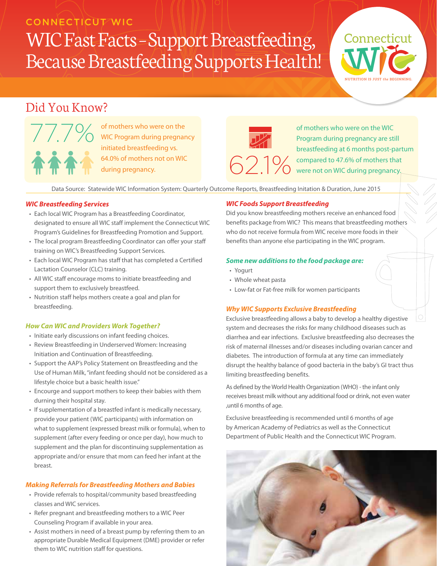### **CONNECTICUT WIC**

# WIC Fast Facts – Support Breastfeeding, Because Breastfeeding Supports Health!

## Did You Know?



of mothers who were on the WIC Program during pregnancy initiated breastfeeding vs. 64.0% of mothers not on WIC during pregnancy.



of mothers who were on the WIC Program during pregnancy are still breastfeeding at 6 months post-partum  $\bigcirc$  2.1  $\%$  compared to 47.6% of mothers that  $\bigcirc$  2.1  $\%$  were not on WIC during pregnancy.

W

**Connecticut** 

**NUTRITION IS JUST** *the* **BEGINNING.**

Data Source: Statewide WIC Information System: Quarterly Outcome Reports, Breastfeeding Initation & Duration, June 2015

#### *WIC Breastfeeding Services*

- Each local WIC Program has a Breastfeeding Coordinator, designated to ensure all WIC staff implement the Connecticut WIC Program's Guidelines for Breastfeeding Promotion and Support.
- The local program Breastfeeding Coordinator can offer your staff training on WIC's Breastfeeding Support Services.
- Each local WIC Program has staff that has completed a Certified Lactation Counselor (CLC) training.
- All WIC staff encourage moms to initiate breastfeeding and support them to exclusively breastfeed.
- Nutrition staff helps mothers create a goal and plan for breastfeeding.

#### *How Can WIC and Providers Work Together?*

- Initiate early discussions on infant feeding choices.
- Review Breastfeeding in Underserved Women: Increasing Initiation and Continuation of Breastfeeding.
- Support the AAP's Policy Statement on Breastfeeding and the Use of Human Milk, "infant feeding should not be considered as a lifestyle choice but a basic health issue."
- Encourge and support mothers to keep their babies with them durning their hospital stay.
- If supplementation of a breastfed infant is medically necessary, provide your patient (WIC participants) with information on what to supplement (expressed breast milk or formula), when to supplement (after every feeding or once per day), how much to supplement and the plan for discontinuing supplementation as appropriate and/or ensure that mom can feed her infant at the breast.

#### *Making Referrals for Breastfeeding Mothers and Babies*

- Provide referrals to hospital/community based breastfeeding classes and WIC services.
- Refer pregnant and breastfeeding mothers to a WIC Peer Counseling Program if available in your area.
- Assist mothers in need of a breast pump by referring them to an appropriate Durable Medical Equipment (DME) provider or refer them to WIC nutrition staff for questions.

#### *WIC Foods Support Breastfeeding*

Did you know breastfeeding mothers receive an enhanced food benefits package from WIC? This means that breastfeeding mothers who do not receive formula from WIC receive more foods in their benefits than anyone else participating in the WIC program.

#### *Some new additions to the food package are:*

- Yogurt
- Whole wheat pasta
- Low-fat or Fat-free milk for women participants

#### *Why WIC Supports Exclusive Breastfeeding*

Exclusive breastfeeding allows a baby to develop a healthy digestive system and decreases the risks for many childhood diseases such as diarrhea and ear infections. Exclusive breastfeeding also decreases the risk of maternal illnesses and/or diseases including ovarian cancer and diabetes. The introduction of formula at any time can immediately disrupt the healthy balance of good bacteria in the baby's GI tract thus limiting breastfeeding benefits.

As defined by the World Health Organization (WHO) - the infant only receives breast milk without any additional food or drink, not even water ,until 6 months of age.

Exclusive breastfeeding is recommended until 6 months of age by American Academy of Pediatrics as well as the Connecticut Department of Public Health and the Connecticut WIC Program.